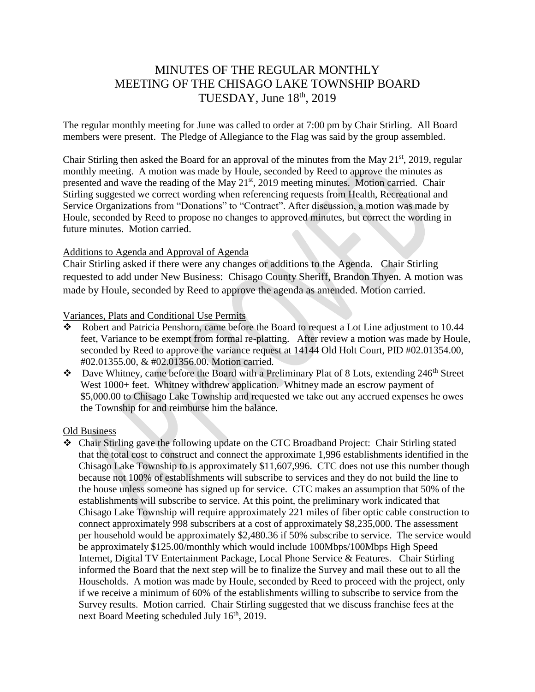# MINUTES OF THE REGULAR MONTHLY MEETING OF THE CHISAGO LAKE TOWNSHIP BOARD TUESDAY, June  $18<sup>th</sup>$ , 2019

The regular monthly meeting for June was called to order at 7:00 pm by Chair Stirling. All Board members were present. The Pledge of Allegiance to the Flag was said by the group assembled.

Chair Stirling then asked the Board for an approval of the minutes from the May 21<sup>st</sup>, 2019, regular monthly meeting. A motion was made by Houle, seconded by Reed to approve the minutes as presented and wave the reading of the May 21<sup>st</sup>, 2019 meeting minutes. Motion carried. Chair Stirling suggested we correct wording when referencing requests from Health, Recreational and Service Organizations from "Donations" to "Contract". After discussion, a motion was made by Houle, seconded by Reed to propose no changes to approved minutes, but correct the wording in future minutes. Motion carried.

#### Additions to Agenda and Approval of Agenda

Chair Stirling asked if there were any changes or additions to the Agenda. Chair Stirling requested to add under New Business: Chisago County Sheriff, Brandon Thyen. A motion was made by Houle, seconded by Reed to approve the agenda as amended. Motion carried.

### Variances, Plats and Conditional Use Permits

- $\overline{\text{Robert}}$  and Patricia Penshorn, came before the Board to request a Lot Line adjustment to 10.44 feet, Variance to be exempt from formal re-platting. After review a motion was made by Houle, seconded by Reed to approve the variance request at 14144 Old Holt Court, PID #02.01354.00, #02.01355.00, & #02.01356.00. Motion carried.
- $\bullet$  Dave Whitney, came before the Board with a Preliminary Plat of 8 Lots, extending 246<sup>th</sup> Street West 1000+ feet. Whitney withdrew application. Whitney made an escrow payment of \$5,000.00 to Chisago Lake Township and requested we take out any accrued expenses he owes the Township for and reimburse him the balance.

### Old Business

 Chair Stirling gave the following update on the CTC Broadband Project: Chair Stirling stated that the total cost to construct and connect the approximate 1,996 establishments identified in the Chisago Lake Township to is approximately \$11,607,996. CTC does not use this number though because not 100% of establishments will subscribe to services and they do not build the line to the house unless someone has signed up for service. CTC makes an assumption that 50% of the establishments will subscribe to service. At this point, the preliminary work indicated that Chisago Lake Township will require approximately 221 miles of fiber optic cable construction to connect approximately 998 subscribers at a cost of approximately \$8,235,000. The assessment per household would be approximately \$2,480.36 if 50% subscribe to service. The service would be approximately \$125.00/monthly which would include 100Mbps/100Mbps High Speed Internet, Digital TV Entertainment Package, Local Phone Service & Features. Chair Stirling informed the Board that the next step will be to finalize the Survey and mail these out to all the Households. A motion was made by Houle, seconded by Reed to proceed with the project, only if we receive a minimum of 60% of the establishments willing to subscribe to service from the Survey results. Motion carried. Chair Stirling suggested that we discuss franchise fees at the next Board Meeting scheduled July  $16<sup>th</sup>$ , 2019.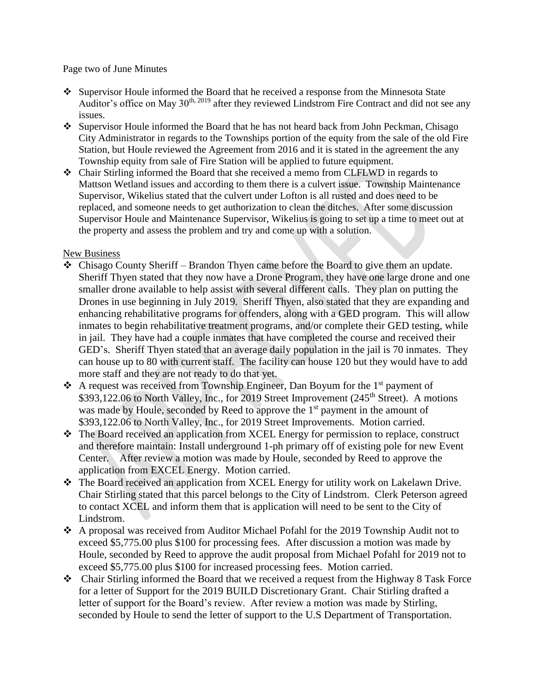Page two of June Minutes

- Supervisor Houle informed the Board that he received a response from the Minnesota State Auditor's office on May  $30<sup>th, 2019</sup>$  after they reviewed Lindstrom Fire Contract and did not see any issues.
- Supervisor Houle informed the Board that he has not heard back from John Peckman, Chisago City Administrator in regards to the Townships portion of the equity from the sale of the old Fire Station, but Houle reviewed the Agreement from 2016 and it is stated in the agreement the any Township equity from sale of Fire Station will be applied to future equipment.
- Chair Stirling informed the Board that she received a memo from CLFLWD in regards to Mattson Wetland issues and according to them there is a culvert issue. Township Maintenance Supervisor, Wikelius stated that the culvert under Lofton is all rusted and does need to be replaced, and someone needs to get authorization to clean the ditches. After some discussion Supervisor Houle and Maintenance Supervisor, Wikelius is going to set up a time to meet out at the property and assess the problem and try and come up with a solution.

# New Business

- Chisago County Sheriff Brandon Thyen came before the Board to give them an update. Sheriff Thyen stated that they now have a Drone Program, they have one large drone and one smaller drone available to help assist with several different calls. They plan on putting the Drones in use beginning in July 2019. Sheriff Thyen, also stated that they are expanding and enhancing rehabilitative programs for offenders, along with a GED program. This will allow inmates to begin rehabilitative treatment programs, and/or complete their GED testing, while in jail. They have had a couple inmates that have completed the course and received their GED's. Sheriff Thyen stated that an average daily population in the jail is 70 inmates. They can house up to 80 with current staff. The facility can house 120 but they would have to add more staff and they are not ready to do that yet.
- A request was received from Township Engineer, Dan Boyum for the  $1<sup>st</sup>$  payment of \$393,122.06 to North Valley, Inc., for 2019 Street Improvement (245<sup>th</sup> Street). A motions was made by Houle, seconded by Reed to approve the 1<sup>st</sup> payment in the amount of \$393,122.06 to North Valley, Inc., for 2019 Street Improvements. Motion carried.
- The Board received an application from XCEL Energy for permission to replace, construct and therefore maintain: Install underground 1-ph primary off of existing pole for new Event Center. After review a motion was made by Houle, seconded by Reed to approve the application from EXCEL Energy. Motion carried.
- The Board received an application from XCEL Energy for utility work on Lakelawn Drive. Chair Stirling stated that this parcel belongs to the City of Lindstrom. Clerk Peterson agreed to contact XCEL and inform them that is application will need to be sent to the City of Lindstrom.
- A proposal was received from Auditor Michael Pofahl for the 2019 Township Audit not to exceed \$5,775.00 plus \$100 for processing fees. After discussion a motion was made by Houle, seconded by Reed to approve the audit proposal from Michael Pofahl for 2019 not to exceed \$5,775.00 plus \$100 for increased processing fees. Motion carried.
- Chair Stirling informed the Board that we received a request from the Highway 8 Task Force for a letter of Support for the 2019 BUILD Discretionary Grant. Chair Stirling drafted a letter of support for the Board's review. After review a motion was made by Stirling, seconded by Houle to send the letter of support to the U.S Department of Transportation.